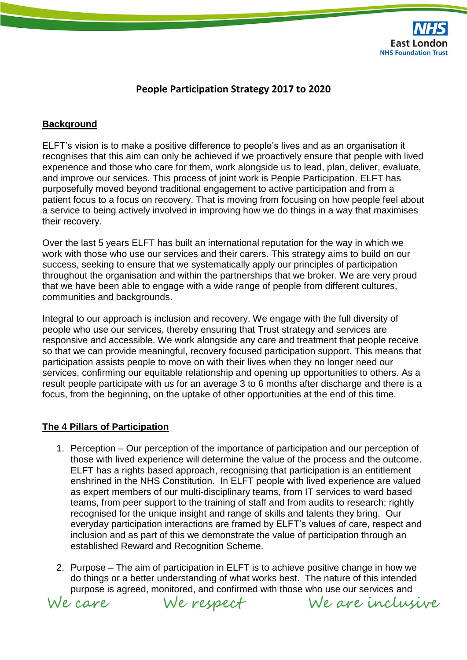

## **People Participation Strategy 2017 to 2020**

#### **Background**

ELFT's vision is to make a positive difference to people's lives and as an organisation it recognises that this aim can only be achieved if we proactively ensure that people with lived experience and those who care for them, work alongside us to lead, plan, deliver, evaluate, and improve our services. This process of joint work is People Participation. ELFT has purposefully moved beyond traditional engagement to active participation and from a patient focus to a focus on recovery. That is moving from focusing on how people feel about a service to being actively involved in improving how we do things in a way that maximises their recovery.

Over the last 5 years ELFT has built an international reputation for the way in which we work with those who use our services and their carers. This strategy aims to build on our success, seeking to ensure that we systematically apply our principles of participation throughout the organisation and within the partnerships that we broker. We are very proud that we have been able to engage with a wide range of people from different cultures, communities and backgrounds.

Integral to our approach is inclusion and recovery. We engage with the full diversity of people who use our services, thereby ensuring that Trust strategy and services are responsive and accessible. We work alongside any care and treatment that people receive so that we can provide meaningful, recovery focused participation support. This means that participation assists people to move on with their lives when they no longer need our services, confirming our equitable relationship and opening up opportunities to others. As a result people participate with us for an average 3 to 6 months after discharge and there is a focus, from the beginning, on the uptake of other opportunities at the end of this time.

#### **The 4 Pillars of Participation**

- 1. Perception Our perception of the importance of participation and our perception of those with lived experience will determine the value of the process and the outcome. ELFT has a rights based approach, recognising that participation is an entitlement enshrined in the NHS Constitution. In ELFT people with lived experience are valued as expert members of our multi-disciplinary teams, from IT services to ward based teams, from peer support to the training of staff and from audits to research; rightly recognised for the unique insight and range of skills and talents they bring. Our everyday participation interactions are framed by ELFT's values of care, respect and inclusion and as part of this we demonstrate the value of participation through an established Reward and Recognition Scheme.
- 2. Purpose The aim of participation in ELFT is to achieve positive change in how we do things or a better understanding of what works best. The nature of this intended purpose is agreed, monitored, and confirmed with those who use our services and



We respect

We are inclusive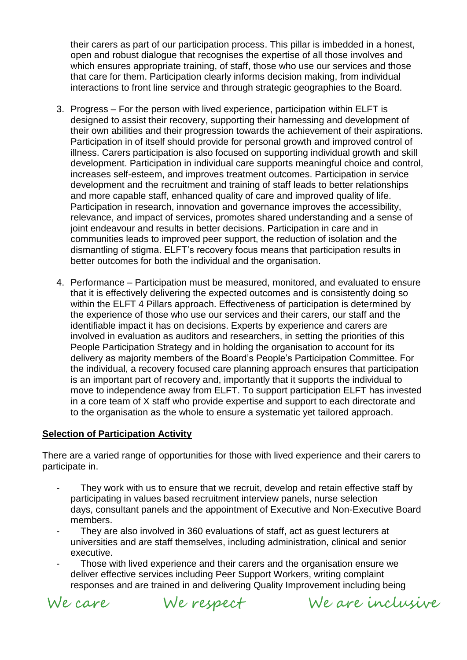their carers as part of our participation process. This pillar is imbedded in a honest, open and robust dialogue that recognises the expertise of all those involves and which ensures appropriate training, of staff, those who use our services and those that care for them. Participation clearly informs decision making, from individual interactions to front line service and through strategic geographies to the Board.

- 3. Progress For the person with lived experience, participation within ELFT is designed to assist their recovery, supporting their harnessing and development of their own abilities and their progression towards the achievement of their aspirations. Participation in of itself should provide for personal growth and improved control of illness. Carers participation is also focused on supporting individual growth and skill development. Participation in individual care supports meaningful choice and control, increases self-esteem, and improves treatment outcomes. Participation in service development and the recruitment and training of staff leads to better relationships and more capable staff, enhanced quality of care and improved quality of life. Participation in research, innovation and governance improves the accessibility, relevance, and impact of services, promotes shared understanding and a sense of joint endeavour and results in better decisions. Participation in care and in communities leads to improved peer support, the reduction of isolation and the dismantling of stigma. ELFT's recovery focus means that participation results in better outcomes for both the individual and the organisation.
- 4. Performance Participation must be measured, monitored, and evaluated to ensure that it is effectively delivering the expected outcomes and is consistently doing so within the ELFT 4 Pillars approach. Effectiveness of participation is determined by the experience of those who use our services and their carers, our staff and the identifiable impact it has on decisions. Experts by experience and carers are involved in evaluation as auditors and researchers, in setting the priorities of this People Participation Strategy and in holding the organisation to account for its delivery as majority members of the Board's People's Participation Committee. For the individual, a recovery focused care planning approach ensures that participation is an important part of recovery and, importantly that it supports the individual to move to independence away from ELFT. To support participation ELFT has invested in a core team of X staff who provide expertise and support to each directorate and to the organisation as the whole to ensure a systematic yet tailored approach.

#### **Selection of Participation Activity**

There are a varied range of opportunities for those with lived experience and their carers to participate in.

- They work with us to ensure that we recruit, develop and retain effective staff by participating in values based recruitment interview panels, nurse selection days, consultant panels and the appointment of Executive and Non-Executive Board members.
- They are also involved in 360 evaluations of staff, act as quest lecturers at universities and are staff themselves, including administration, clinical and senior executive.
- Those with lived experience and their carers and the organisation ensure we deliver effective services including Peer Support Workers, writing complaint responses and are trained in and delivering Quality Improvement including being

We care

We respect We are inclusive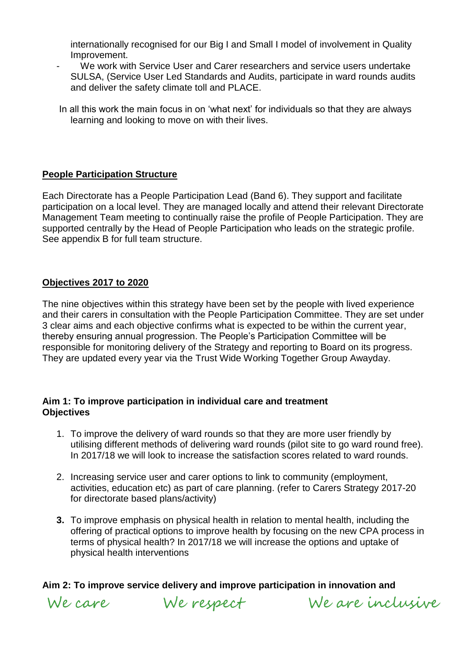internationally recognised for our Big I and Small I model of involvement in Quality Improvement.

- We work with Service User and Carer researchers and service users undertake SULSA, (Service User Led Standards and Audits, participate in ward rounds audits and deliver the safety climate toll and PLACE.
- In all this work the main focus in on 'what next' for individuals so that they are always learning and looking to move on with their lives.

### **People Participation Structure**

Each Directorate has a People Participation Lead (Band 6). They support and facilitate participation on a local level. They are managed locally and attend their relevant Directorate Management Team meeting to continually raise the profile of People Participation. They are supported centrally by the Head of People Participation who leads on the strategic profile. See appendix B for full team structure.

#### **Objectives 2017 to 2020**

The nine objectives within this strategy have been set by the people with lived experience and their carers in consultation with the People Participation Committee. They are set under 3 clear aims and each objective confirms what is expected to be within the current year, thereby ensuring annual progression. The People's Participation Committee will be responsible for monitoring delivery of the Strategy and reporting to Board on its progress. They are updated every year via the Trust Wide Working Together Group Awayday.

#### **Aim 1: To improve participation in individual care and treatment Objectives**

- 1. To improve the delivery of ward rounds so that they are more user friendly by utilising different methods of delivering ward rounds (pilot site to go ward round free). In 2017/18 we will look to increase the satisfaction scores related to ward rounds.
- 2. Increasing service user and carer options to link to community (employment, activities, education etc) as part of care planning. (refer to Carers Strategy 2017-20 for directorate based plans/activity)
- **3.** To improve emphasis on physical health in relation to mental health, including the offering of practical options to improve health by focusing on the new CPA process in terms of physical health? In 2017/18 we will increase the options and uptake of physical health interventions

## **Aim 2: To improve service delivery and improve participation in innovation and**

We care

We respect We are inclusive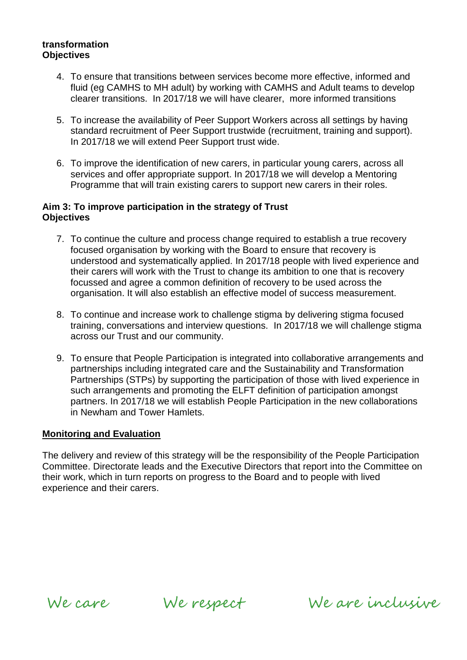#### **transformation Objectives**

- 4. To ensure that transitions between services become more effective, informed and fluid (eg CAMHS to MH adult) by working with CAMHS and Adult teams to develop clearer transitions. In 2017/18 we will have clearer, more informed transitions
- 5. To increase the availability of Peer Support Workers across all settings by having standard recruitment of Peer Support trustwide (recruitment, training and support). In 2017/18 we will extend Peer Support trust wide.
- 6. To improve the identification of new carers, in particular young carers, across all services and offer appropriate support. In 2017/18 we will develop a Mentoring Programme that will train existing carers to support new carers in their roles.

#### **Aim 3: To improve participation in the strategy of Trust Objectives**

- 7. To continue the culture and process change required to establish a true recovery focused organisation by working with the Board to ensure that recovery is understood and systematically applied. In 2017/18 people with lived experience and their carers will work with the Trust to change its ambition to one that is recovery focussed and agree a common definition of recovery to be used across the organisation. It will also establish an effective model of success measurement.
- 8. To continue and increase work to challenge stigma by delivering stigma focused training, conversations and interview questions. In 2017/18 we will challenge stigma across our Trust and our community.
- 9. To ensure that People Participation is integrated into collaborative arrangements and partnerships including integrated care and the Sustainability and Transformation Partnerships (STPs) by supporting the participation of those with lived experience in such arrangements and promoting the ELFT definition of participation amongst partners. In 2017/18 we will establish People Participation in the new collaborations in Newham and Tower Hamlets.

#### **Monitoring and Evaluation**

The delivery and review of this strategy will be the responsibility of the People Participation Committee. Directorate leads and the Executive Directors that report into the Committee on their work, which in turn reports on progress to the Board and to people with lived experience and their carers.

We care We respect

We are inclusive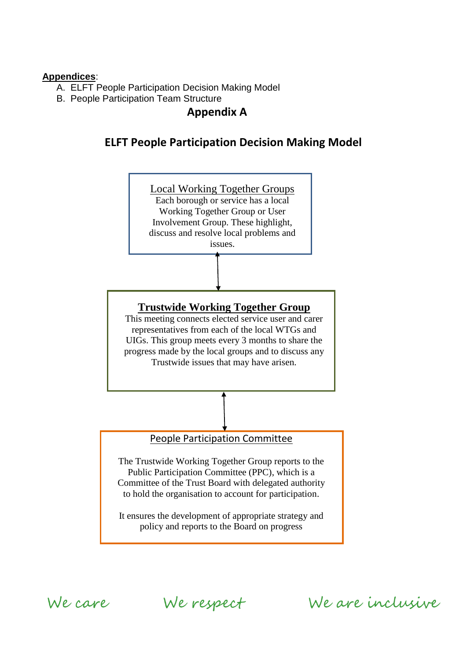#### **Appendices**:

- A. ELFT People Participation Decision Making Model
- B. People Participation Team Structure

# **Appendix A**

# **ELFT People Participation Decision Making Model**



We care

We respect

We are inclusive